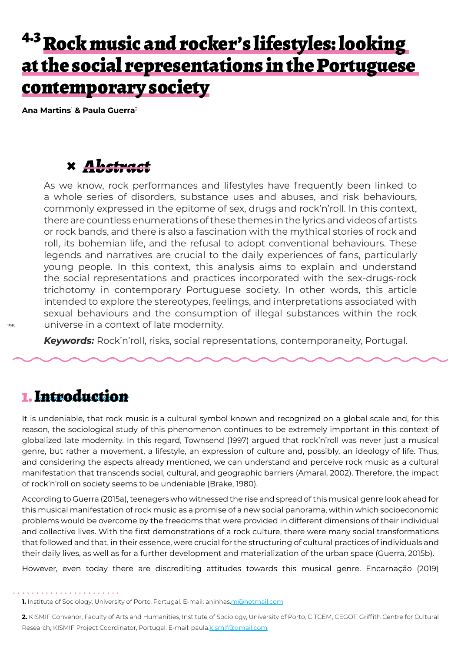## <sup>4.3</sup> Rock music and rocker's lifestyles: looking at the social representations in the Portuguese contemporary society

**Ana Martins**<sup>1</sup>  **& Paula Guerra**<sup>2</sup>

## **×** *Abstract*

As we know, rock performances and lifestyles have frequently been linked to a whole series of disorders, substance uses and abuses, and risk behaviours, commonly expressed in the epitome of sex, drugs and rock'n'roll. In this context, there are countless enumerations of these themes in the lyrics and videos of artists or rock bands, and there is also a fascination with the mythical stories of rock and roll, its bohemian life, and the refusal to adopt conventional behaviours. These legends and narratives are crucial to the daily experiences of fans, particularly young people. In this context, this analysis aims to explain and understand the social representations and practices incorporated with the sex-drugs-rock trichotomy in contemporary Portuguese society. In other words, this article intended to explore the stereotypes, feelings, and interpretations associated with sexual behaviours and the consumption of illegal substances within the rock universe in a context of late modernity.

*Keywords:* Rock'n'roll, risks, social representations, contemporaneity, Portugal.

### 1. Introduction

It is undeniable, that rock music is a cultural symbol known and recognized on a global scale and, for this reason, the sociological study of this phenomenon continues to be extremely important in this context of globalized late modernity. In this regard, Townsend (1997) argued that rock'n'roll was never just a musical genre, but rather a movement, a lifestyle, an expression of culture and, possibly, an ideology of life. Thus, and considering the aspects already mentioned, we can understand and perceive rock music as a cultural manifestation that transcends social, cultural, and geographic barriers (Amaral, 2002). Therefore, the impact of rock'n'roll on society seems to be undeniable (Brake, 1980).

According to Guerra (2015a), teenagers who witnessed the rise and spread of this musical genre look ahead for this musical manifestation of rock music as a promise of a new social panorama, within which socioeconomic problems would be overcome by the freedoms that were provided in different dimensions of their individual and collective lives. With the first demonstrations of a rock culture, there were many social transformations that followed and that, in their essence, were crucial for the structuring of cultural practices of individuals and their daily lives, as well as for a further development and materialization of the urban space (Guerra, 2015b).

However, even today there are discrediting attitudes towards this musical genre. Encarnação (2019)

**1.** Institute of Sociology, University of Porto, Portugal. E-mail: aninhas.m@hotmail.com

**2.** KISMIF Convenor, Faculty of Arts and Humanities, Institute of Sociology, University of Porto, CITCEM, CEGOT, Griffith Centre for Cultural Research, KISMIF Project Coordinator, Portugal. E-mail: paula.kismif@gmail.com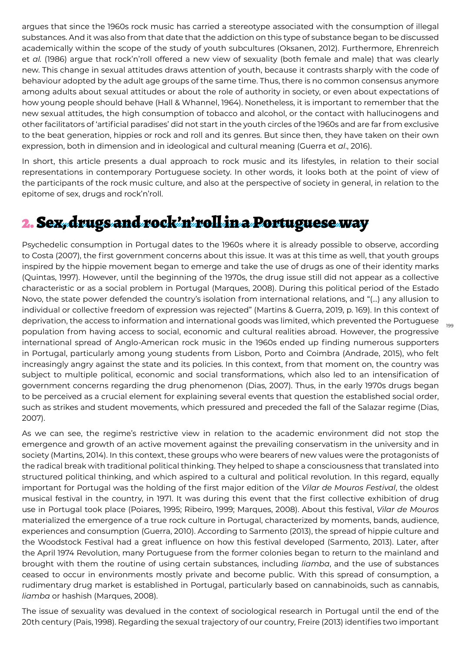argues that since the 1960s rock music has carried a stereotype associated with the consumption of illegal substances. And it was also from that date that the addiction on this type of substance began to be discussed academically within the scope of the study of youth subcultures (Oksanen, 2012). Furthermore, Ehrenreich et *al.* (1986) argue that rock'n'roll offered a new view of sexuality (both female and male) that was clearly new. This change in sexual attitudes draws attention of youth, because it contrasts sharply with the code of behaviour adopted by the adult age groups of the same time. Thus, there is no common consensus anymore among adults about sexual attitudes or about the role of authority in society, or even about expectations of how young people should behave (Hall & Whannel, 1964). Nonetheless, it is important to remember that the new sexual attitudes, the high consumption of tobacco and alcohol, or the contact with hallucinogens and other facilitators of 'artificial paradises' did not start in the youth circles of the 1960s and are far from exclusive to the beat generation, hippies or rock and roll and its genres. But since then, they have taken on their own expression, both in dimension and in ideological and cultural meaning (Guerra et *al*., 2016).

In short, this article presents a dual approach to rock music and its lifestyles, in relation to their social representations in contemporary Portuguese society. In other words, it looks both at the point of view of the participants of the rock music culture, and also at the perspective of society in general, in relation to the epitome of sex, drugs and rock'n'roll.

## 2. Sex, drugs and rock'n'roll in a Portuguese way

Psychedelic consumption in Portugal dates to the 1960s where it is already possible to observe, according to Costa (2007), the first government concerns about this issue. It was at this time as well, that youth groups inspired by the hippie movement began to emerge and take the use of drugs as one of their identity marks (Quintas, 1997). However, until the beginning of the 1970s, the drug issue still did not appear as a collective characteristic or as a social problem in Portugal (Marques, 2008). During this political period of the Estado Novo, the state power defended the country's isolation from international relations, and "(...) any allusion to individual or collective freedom of expression was rejected" (Martins & Guerra, 2019, p. 169). In this context of deprivation, the access to information and international goods was limited, which prevented the Portuguese population from having access to social, economic and cultural realities abroad. However, the progressive international spread of Anglo-American rock music in the 1960s ended up finding numerous supporters in Portugal, particularly among young students from Lisbon, Porto and Coimbra (Andrade, 2015), who felt increasingly angry against the state and its policies. In this context, from that moment on, the country was subject to multiple political, economic and social transformations, which also led to an intensification of government concerns regarding the drug phenomenon (Dias, 2007). Thus, in the early 1970s drugs began to be perceived as a crucial element for explaining several events that question the established social order, such as strikes and student movements, which pressured and preceded the fall of the Salazar regime (Dias, 2007).

As we can see, the regime's restrictive view in relation to the academic environment did not stop the emergence and growth of an active movement against the prevailing conservatism in the university and in society (Martins, 2014). In this context, these groups who were bearers of new values were the protagonists of the radical break with traditional political thinking. They helped to shape a consciousness that translated into structured political thinking, and which aspired to a cultural and political revolution. In this regard, equally important for Portugal was the holding of the first major edition of the *Vilar de Mouros Festival*, the oldest musical festival in the country, in 1971. It was during this event that the first collective exhibition of drug use in Portugal took place (Poiares, 1995; Ribeiro, 1999; Marques, 2008). About this festival, *Vilar de Mouros* materialized the emergence of a true rock culture in Portugal, characterized by moments, bands, audience, experiences and consumption (Guerra, 2010). According to Sarmento (2013), the spread of hippie culture and the Woodstock Festival had a great influence on how this festival developed (Sarmento, 2013). Later, after the April 1974 Revolution, many Portuguese from the former colonies began to return to the mainland and brought with them the routine of using certain substances, including *liamba*, and the use of substances ceased to occur in environments mostly private and become public. With this spread of consumption, a rudimentary drug market is established in Portugal, particularly based on cannabinoids, such as cannabis, *liamba* or hashish (Marques, 2008).

The issue of sexuality was devalued in the context of sociological research in Portugal until the end of the 20th century (Pais, 1998). Regarding the sexual trajectory of our country, Freire (2013) identifies two important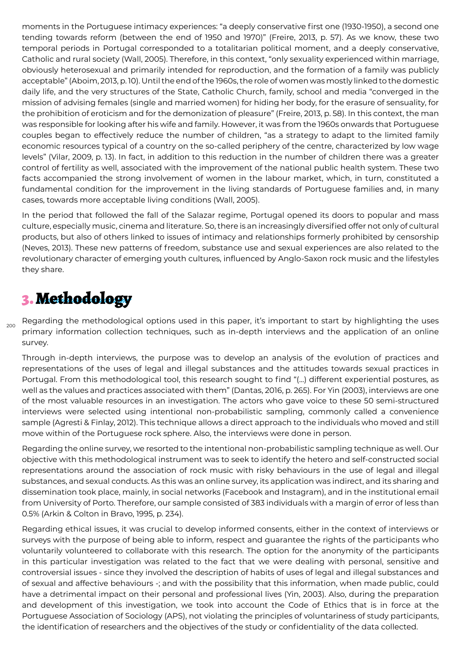moments in the Portuguese intimacy experiences: "a deeply conservative first one (1930-1950), a second one tending towards reform (between the end of 1950 and 1970)" (Freire, 2013, p. 57). As we know, these two temporal periods in Portugal corresponded to a totalitarian political moment, and a deeply conservative, Catholic and rural society (Wall, 2005). Therefore, in this context, "only sexuality experienced within marriage, obviously heterosexual and primarily intended for reproduction, and the formation of a family was publicly acceptable" (Aboim, 2013, p. 10). Until the end of the 1960s, the role of women was mostly linked to the domestic daily life, and the very structures of the State, Catholic Church, family, school and media "converged in the mission of advising females (single and married women) for hiding her body, for the erasure of sensuality, for the prohibition of eroticism and for the demonization of pleasure" (Freire, 2013, p. 58). In this context, the man was responsible for looking after his wife and family. However, it was from the 1960s onwards that Portuguese couples began to effectively reduce the number of children, "as a strategy to adapt to the limited family economic resources typical of a country on the so-called periphery of the centre, characterized by low wage levels" (Vilar, 2009, p. 13). In fact, in addition to this reduction in the number of children there was a greater control of fertility as well, associated with the improvement of the national public health system. These two facts accompanied the strong involvement of women in the labour market, which, in turn, constituted a fundamental condition for the improvement in the living standards of Portuguese families and, in many cases, towards more acceptable living conditions (Wall, 2005).

In the period that followed the fall of the Salazar regime, Portugal opened its doors to popular and mass culture, especially music, cinema and literature. So, there is an increasingly diversified offer not only of cultural products, but also of others linked to issues of intimacy and relationships formerly prohibited by censorship (Neves, 2013). These new patterns of freedom, substance use and sexual experiences are also related to the revolutionary character of emerging youth cultures, influenced by Anglo-Saxon rock music and the lifestyles they share.

## 3. Methodology

 $200$ 

Regarding the methodological options used in this paper, it's important to start by highlighting the uses primary information collection techniques, such as in-depth interviews and the application of an online survey.

Through in-depth interviews, the purpose was to develop an analysis of the evolution of practices and representations of the uses of legal and illegal substances and the attitudes towards sexual practices in Portugal. From this methodological tool, this research sought to find "(...) different experiential postures, as well as the values and practices associated with them" (Dantas, 2016, p. 265). For Yin (2003), interviews are one of the most valuable resources in an investigation. The actors who gave voice to these 50 semi-structured interviews were selected using intentional non-probabilistic sampling, commonly called a convenience sample (Agresti & Finlay, 2012). This technique allows a direct approach to the individuals who moved and still move within of the Portuguese rock sphere. Also, the interviews were done in person.

Regarding the online survey, we resorted to the intentional non-probabilistic sampling technique as well. Our objective with this methodological instrument was to seek to identify the hetero and self-constructed social representations around the association of rock music with risky behaviours in the use of legal and illegal substances, and sexual conducts. As this was an online survey, its application was indirect, and its sharing and dissemination took place, mainly, in social networks (Facebook and Instagram), and in the institutional email from University of Porto. Therefore, our sample consisted of 383 individuals with a margin of error of less than 0.5% (Arkin & Colton in Bravo, 1995, p. 234).

Regarding ethical issues, it was crucial to develop informed consents, either in the context of interviews or surveys with the purpose of being able to inform, respect and guarantee the rights of the participants who voluntarily volunteered to collaborate with this research. The option for the anonymity of the participants in this particular investigation was related to the fact that we were dealing with personal, sensitive and controversial issues - since they involved the description of habits of uses of legal and illegal substances and of sexual and affective behaviours -; and with the possibility that this information, when made public, could have a detrimental impact on their personal and professional lives (Yin, 2003). Also, during the preparation and development of this investigation, we took into account the Code of Ethics that is in force at the Portuguese Association of Sociology (APS), not violating the principles of voluntariness of study participants, the identification of researchers and the objectives of the study or confidentiality of the data collected.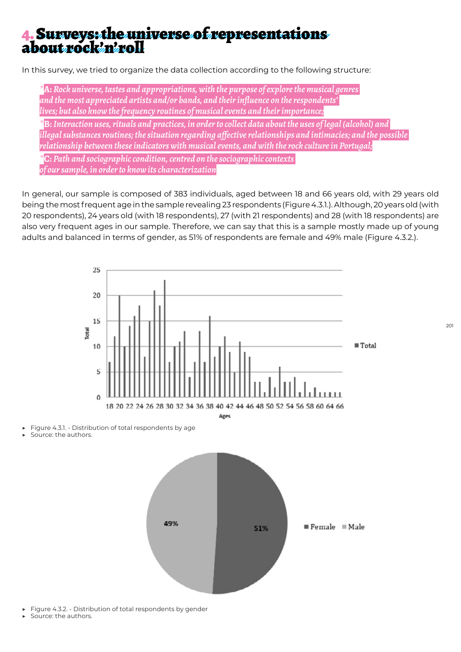# 4. Surveys: the universe of representations about rock'n'roll

In this survey, we tried to organize the data collection according to the following structure:

*\****A:** *Rock universe, tastes and appropriations, with the purpose of explore the musical genres and the most appreciated artists and/or bands, and their influence on the respondents' lives; but also know the frequency routines of musical events and their importance;*

*\****B:** *Interaction uses, rituals and practices, in order to collect data about the uses of legal (alcohol) and illegal substances routines; the situation regarding affective relationships and intimacies; and the possible relationship between these indicators with musical events, and with the rock culture in Portugal;*

*\****C:** *Path and sociographic condition, centred on the sociographic contexts of our sample, in order to know its characterization*

In general, our sample is composed of 383 individuals, aged between 18 and 66 years old, with 29 years old being the most frequent age in the sample revealing 23 respondents (Figure 4.3.1.). Although, 20 years old (with 20 respondents), 24 years old (with 18 respondents), 27 (with 21 respondents) and 28 (with 18 respondents) are also very frequent ages in our sample. Therefore, we can say that this is a sample mostly made up of young adults and balanced in terms of gender, as 51% of respondents are female and 49% male (Figure 4.3.2.).



- Figure 4.3.2. Distribution of total respondents by gender
- Source: the authors.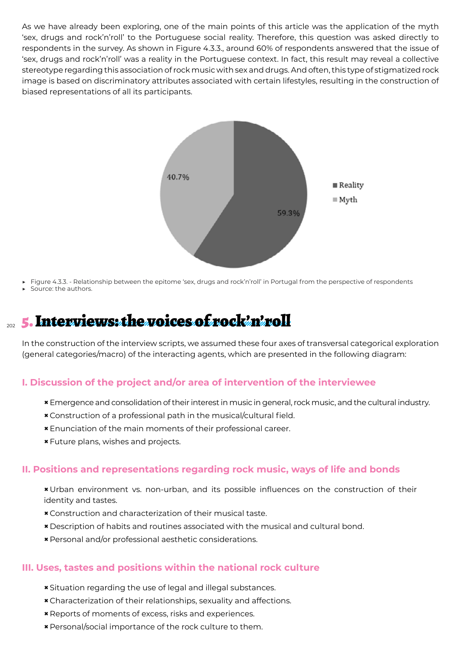As we have already been exploring, one of the main points of this article was the application of the myth 'sex, drugs and rock'n'roll' to the Portuguese social reality. Therefore, this question was asked directly to respondents in the survey. As shown in Figure 4.3.3., around 60% of respondents answered that the issue of 'sex, drugs and rock'n'roll' was a reality in the Portuguese context. In fact, this result may reveal a collective stereotype regarding this association of rock music with sex and drugs. And often, this type of stigmatized rock image is based on discriminatory attributes associated with certain lifestyles, resulting in the construction of biased representations of all its participants.



Figure 4.3.3. - Relationship between the epitome 'sex, drugs and rock'n'roll' in Portugal from the perspective of respondents

Source: the authors.

## 202 5. Interviews: the voices of rock'n'roll

In the construction of the interview scripts, we assumed these four axes of transversal categorical exploration (general categories/macro) of the interacting agents, which are presented in the following diagram:

#### **I. Discussion of the project and/or area of intervention of the interviewee**

- **×**Emergence and consolidation of their interest in music in general, rock music, and the cultural industry.
- **×** Construction of a professional path in the musical/cultural field.
- **×**Enunciation of the main moments of their professional career.
- **×**Future plans, wishes and projects.

#### **II. Positions and representations regarding rock music, ways of life and bonds**

**×**Urban environment vs. non-urban, and its possible influences on the construction of their identity and tastes.

- **×** Construction and characterization of their musical taste.
- **×** Description of habits and routines associated with the musical and cultural bond.
- **×** Personal and/or professional aesthetic considerations.

#### **III. Uses, tastes and positions within the national rock culture**

- **×** Situation regarding the use of legal and illegal substances.
- **×** Characterization of their relationships, sexuality and affections.
- **×** Reports of moments of excess, risks and experiences.
- **×** Personal/social importance of the rock culture to them.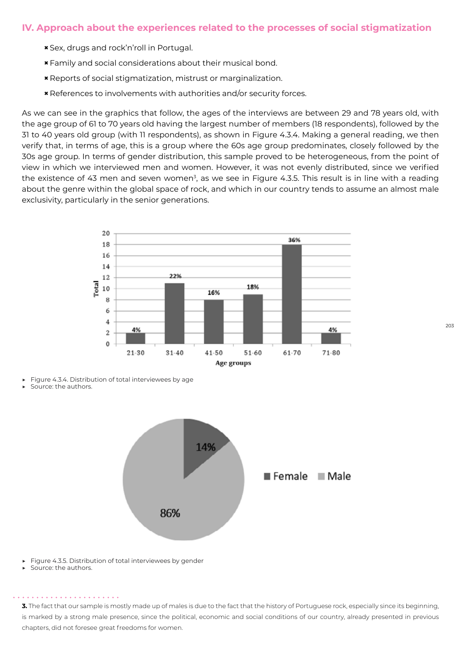#### **IV. Approach about the experiences related to the processes of social stigmatization**

- **×** Sex, drugs and rock'n'roll in Portugal.
- **×**Family and social considerations about their musical bond.
- **×** Reports of social stigmatization, mistrust or marginalization.
- **×** References to involvements with authorities and/or security forces.

As we can see in the graphics that follow, the ages of the interviews are between 29 and 78 years old, with the age group of 61 to 70 years old having the largest number of members (18 respondents), followed by the 31 to 40 years old group (with 11 respondents), as shown in Figure 4.3.4. Making a general reading, we then verify that, in terms of age, this is a group where the 60s age group predominates, closely followed by the 30s age group. In terms of gender distribution, this sample proved to be heterogeneous, from the point of view in which we interviewed men and women. However, it was not evenly distributed, since we verified the existence of 43 men and seven women<sup>3</sup>, as we see in Figure 4.3.5. This result is in line with a reading about the genre within the global space of rock, and which in our country tends to assume an almost male exclusivity, particularly in the senior generations.



Figure 4.3.4. Distribution of total interviewees by age

Source: the authors.



- Figure 4.3.5. Distribution of total interviewees by gender
- Source: the authors.

. . . . . . . . . . . . . . . .

**3.** The fact that our sample is mostly made up of males is due to the fact that the history of Portuguese rock, especially since its beginning, is marked by a strong male presence, since the political, economic and social conditions of our country, already presented in previous chapters, did not foresee great freedoms for women.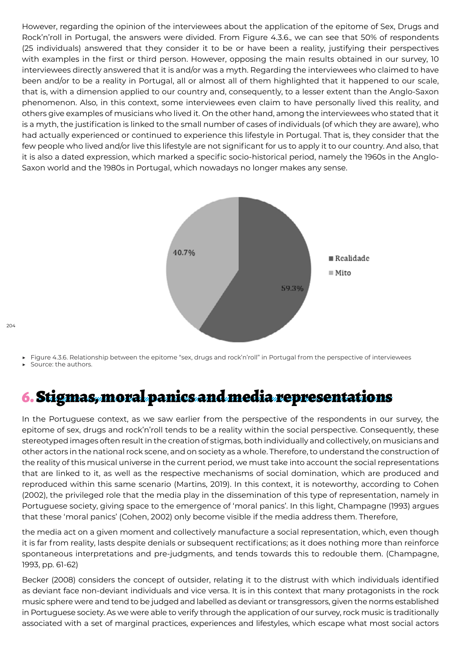However, regarding the opinion of the interviewees about the application of the epitome of Sex, Drugs and Rock'n'roll in Portugal, the answers were divided. From Figure 4.3.6., we can see that 50% of respondents (25 individuals) answered that they consider it to be or have been a reality, justifying their perspectives with examples in the first or third person. However, opposing the main results obtained in our survey, 10 interviewees directly answered that it is and/or was a myth. Regarding the interviewees who claimed to have been and/or to be a reality in Portugal, all or almost all of them highlighted that it happened to our scale, that is, with a dimension applied to our country and, consequently, to a lesser extent than the Anglo-Saxon phenomenon. Also, in this context, some interviewees even claim to have personally lived this reality, and others give examples of musicians who lived it. On the other hand, among the interviewees who stated that it is a myth, the justification is linked to the small number of cases of individuals (of which they are aware), who had actually experienced or continued to experience this lifestyle in Portugal. That is, they consider that the few people who lived and/or live this lifestyle are not significant for us to apply it to our country. And also, that it is also a dated expression, which marked a specific socio-historical period, namely the 1960s in the Anglo-Saxon world and the 1980s in Portugal, which nowadays no longer makes any sense.



Figure 4.3.6. Relationship between the epitome "sex, drugs and rock'n'roll" in Portugal from the perspective of interviewees

Source: the authors.

## 6. Stigmas, moral panics and media representations

In the Portuguese context, as we saw earlier from the perspective of the respondents in our survey, the epitome of sex, drugs and rock'n'roll tends to be a reality within the social perspective. Consequently, these stereotyped images often result in the creation of stigmas, both individually and collectively, on musicians and other actors in the national rock scene, and on society as a whole. Therefore, to understand the construction of the reality of this musical universe in the current period, we must take into account the social representations that are linked to it, as well as the respective mechanisms of social domination, which are produced and reproduced within this same scenario (Martins, 2019). In this context, it is noteworthy, according to Cohen (2002), the privileged role that the media play in the dissemination of this type of representation, namely in Portuguese society, giving space to the emergence of 'moral panics'. In this light, Champagne (1993) argues that these 'moral panics' (Cohen, 2002) only become visible if the media address them. Therefore,

the media act on a given moment and collectively manufacture a social representation, which, even though it is far from reality, lasts despite denials or subsequent rectifications; as it does nothing more than reinforce spontaneous interpretations and pre-judgments, and tends towards this to redouble them. (Champagne, 1993, pp. 61-62)

Becker (2008) considers the concept of outsider, relating it to the distrust with which individuals identified as deviant face non-deviant individuals and vice versa. It is in this context that many protagonists in the rock music sphere were and tend to be judged and labelled as deviant or transgressors, given the norms established in Portuguese society. As we were able to verify through the application of our survey, rock music is traditionally associated with a set of marginal practices, experiences and lifestyles, which escape what most social actors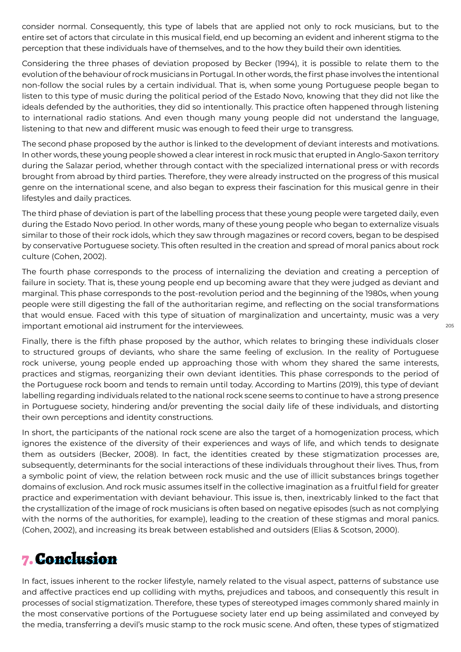consider normal. Consequently, this type of labels that are applied not only to rock musicians, but to the entire set of actors that circulate in this musical field, end up becoming an evident and inherent stigma to the perception that these individuals have of themselves, and to the how they build their own identities.

Considering the three phases of deviation proposed by Becker (1994), it is possible to relate them to the evolution of the behaviour of rock musicians in Portugal. In other words, the first phase involves the intentional non-follow the social rules by a certain individual. That is, when some young Portuguese people began to listen to this type of music during the political period of the Estado Novo, knowing that they did not like the ideals defended by the authorities, they did so intentionally. This practice often happened through listening to international radio stations. And even though many young people did not understand the language, listening to that new and different music was enough to feed their urge to transgress.

The second phase proposed by the author is linked to the development of deviant interests and motivations. In other words, these young people showed a clear interest in rock music that erupted in Anglo-Saxon territory during the Salazar period, whether through contact with the specialized international press or with records brought from abroad by third parties. Therefore, they were already instructed on the progress of this musical genre on the international scene, and also began to express their fascination for this musical genre in their lifestyles and daily practices.

The third phase of deviation is part of the labelling process that these young people were targeted daily, even during the Estado Novo period. In other words, many of these young people who began to externalize visuals similar to those of their rock idols, which they saw through magazines or record covers, began to be despised by conservative Portuguese society. This often resulted in the creation and spread of moral panics about rock culture (Cohen, 2002).

The fourth phase corresponds to the process of internalizing the deviation and creating a perception of failure in society. That is, these young people end up becoming aware that they were judged as deviant and marginal. This phase corresponds to the post-revolution period and the beginning of the 1980s, when young people were still digesting the fall of the authoritarian regime, and reflecting on the social transformations that would ensue. Faced with this type of situation of marginalization and uncertainty, music was a very important emotional aid instrument for the interviewees.

Finally, there is the fifth phase proposed by the author, which relates to bringing these individuals closer to structured groups of deviants, who share the same feeling of exclusion. In the reality of Portuguese rock universe, young people ended up approaching those with whom they shared the same interests, practices and stigmas, reorganizing their own deviant identities. This phase corresponds to the period of the Portuguese rock boom and tends to remain until today. According to Martins (2019), this type of deviant labelling regarding individuals related to the national rock scene seems to continue to have a strong presence in Portuguese society, hindering and/or preventing the social daily life of these individuals, and distorting their own perceptions and identity constructions.

In short, the participants of the national rock scene are also the target of a homogenization process, which ignores the existence of the diversity of their experiences and ways of life, and which tends to designate them as outsiders (Becker, 2008). In fact, the identities created by these stigmatization processes are, subsequently, determinants for the social interactions of these individuals throughout their lives. Thus, from a symbolic point of view, the relation between rock music and the use of illicit substances brings together domains of exclusion. And rock music assumes itself in the collective imagination as a fruitful field for greater practice and experimentation with deviant behaviour. This issue is, then, inextricably linked to the fact that the crystallization of the image of rock musicians is often based on negative episodes (such as not complying with the norms of the authorities, for example), leading to the creation of these stigmas and moral panics. (Cohen, 2002), and increasing its break between established and outsiders (Elias & Scotson, 2000).

## 7. Conclusion

In fact, issues inherent to the rocker lifestyle, namely related to the visual aspect, patterns of substance use and affective practices end up colliding with myths, prejudices and taboos, and consequently this result in processes of social stigmatization. Therefore, these types of stereotyped images commonly shared mainly in the most conservative portions of the Portuguese society later end up being assimilated and conveyed by the media, transferring a devil's music stamp to the rock music scene. And often, these types of stigmatized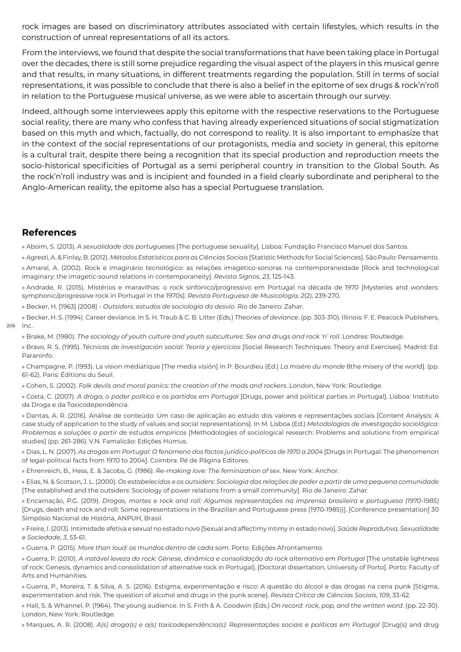rock images are based on discriminatory attributes associated with certain lifestyles, which results in the construction of unreal representations of all its actors.

From the interviews, we found that despite the social transformations that have been taking place in Portugal over the decades, there is still some prejudice regarding the visual aspect of the players in this musical genre and that results, in many situations, in different treatments regarding the population. Still in terms of social representations, it was possible to conclude that there is also a belief in the epitome of sex drugs & rock'n'roll in relation to the Portuguese musical universe, as we were able to ascertain through our survey.

Indeed, although some interviewees apply this epitome with the respective reservations to the Portuguese social reality, there are many who confess that having already experienced situations of social stigmatization based on this myth and which, factually, do not correspond to reality. It is also important to emphasize that in the context of the social representations of our protagonists, media and society in general, this epitome is a cultural trait, despite there being a recognition that its special production and reproduction meets the socio-historical specificities of Portugal as a semi peripheral country in transition to the Global South. As the rock'n'roll industry was and is incipient and founded in a field clearly subordinate and peripheral to the Anglo-American reality, the epitome also has a special Portuguese translation.

#### **References**

» Aboim, S. (2013). *A sexualidade dos portugueses* [The portuguese sexuality]. Lisboa: Fundação Francisco Manuel dos Santos.

» Agresti, A. & Finlay, B. (2012). *Métodos Estatísticos para as Ciências Sociais* [Statistic Methods for Social Sciences]*.* São Paulo: Pensamento. » Amaral, A. (2002). Rock e imaginário tecnológico: as relações imagético-sonoras na contemporaneidade [Rock and technological imaginary: the imagetic-sound relations in contemporaneity]. *Revista Signos*, *23*, 125-143.

» Andrade, R. (2015). Mistérios e maravilhas: o rock sinfónico/progressivo em Portugal na década de 1970 [Mysteries and wonders: symphonic/progressive rock in Portugal in the 1970s]. *Revista Portuguesa de Musicologia*, *2*(2), 239-270.

» Becker, H. [1963] (2008) - *Outsiders: estudos de sociologia do desvio*. Rio de Janeiro: Zahar.

206 Inc. » Becker, H. S. (1994). Career deviance. In S. H. Traub & C. B. Litter (Eds.) *Theories of deviance*. (pp. 303-310). Illinois: F. E. Peacock Publishers,

» Brake, M. (1980). *The sociology of youth culture and youth subcultures: Sex and drugs and rock 'n' roll*. Londres: Routledge.

» Bravo, R. S. (1995). *Técnicas de investigación social: Teoria y ejercicios* [Social Research Techniques: Theory and Exercises]. Madrid: Ed. Paraninfo.

» Champagne, P. (1993). La vision médiatique [The media visión] In P. Bourdieu (Ed.) *La misére du monde* 8the misery of the world]. (pp. 61-62). Paris: Éditions du Seuil.

» Cohen, S. (2002). *Folk devils and moral panics: the creation of the mods and rockers*. London, New York: Routledge.

» Costa, C. (2007). *A droga, o poder político e os partidos em Portugal* [Drugs, power and political parties in Portugal]. Lisboa: Instituto da Droga e da Toxicodependência.

» Dantas, A. R. (2016). Análise de conteúdo: Um caso de aplicação ao estudo dos valores e representações sociais [Content Analysis: A case study of application to the study of values and social representations]. In M. Lisboa (Ed.) *M*et*odologias de investigação sociológica: Problemas e soluções a partir de estudos empíricos* [Methodologies of sociological research: Problems and solutions from empirical studies] (pp. 261-286). V.N. Famalicão: Edições Húmus.

» Dias, L. N. (2007). As drogas em Portugal: O fenómeno dos factos jurídico-políticos de 1970 a 2004 [Drugs in Portugal: The phenomenon of legal-political facts from 1970 to 2004]. Coimbra: Pé de Página Editores.

» Ehrenreich, B., Hess, E. & Jacobs, G. (1986). *Re-making love: The feminization of sex*. New York: Anchor.

» Elias, N. & Scotson, J. L. (2000). *Os estabelecidos e os outsiders: Sociologia das relações de poder a partir de uma pequena comunidade*  [The established and the outsiders: Sociology of power relations from a small community]. Rio de Janeiro: Zahar.

» Encarnação, P.G. (2019). *Drogas, mortes e rock and roll: Algumas representações na imprensa brasileira e portuguesa (1970-1985)*  [Drugs, death and rock and roll: Some representations in the Brazilian and Portuguese press (1970-1985))]. [Conference presentation] 30 Simpósio Nacional de História, ANPUH, Brasil.

» Freire, I. (2013). Intimidade afetiva e sexual no estado novo [Sexual and affectimy intimy in estado novo]. *Saúde Reprodutiva, Sexualidade e Sociedade*, *3*, 53-61.

» Guerra, P. (2015). *More than loud: os mundos dentro de cada som*. Porto: Edições Afrontamento.

» Guerra, P. (2010). *A instável leveza do rock: Génese, dinâmica e consolidação do rock alternativo em Portugal* [The unstable lightness of rock: Genesis, dynamics and consolidation of alternative rock in Portugal]. [Doctoral dissertation, University of Porto]. Porto: Faculty of Arts and Humanities.

» Guerra, P., Moreira, T. & Silva, A. S. (2016). Estigma, experimentação e risco: A questão do álcool e das drogas na cena punk [Stigma, experimentation and risk: The question of alcohol and drugs in the punk scene]. *Revista Crítica de Ciências Sociais*, *109*, 33-62.

» Hall, S. & Whannel, P. (1964). The young audience. In S. Frith & A. Goodwin (Eds.) *On record: rock, pop, and the written word*. (pp. 22-30). London, New York: Routledge.

» Marques, A. R. (2008). *A(s) droga(s) e a(s) toxicodependência(s): Representações sociais e políticas em Portugal [Drug(s) and drug*